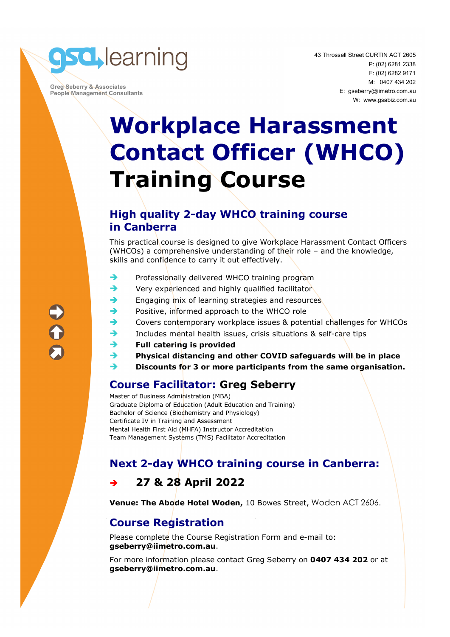

 **Greg Seberry & Associates People Management Consultants**  43 Throssell Street CURTIN ACT 2605 P: (02) 6281 2338 F: (02) 6282 9171 M: 0407 434 202 E: gseberry@iimetro.com.au W: www.gsabiz.com.au

## **Workplace Harassment Contact Officer (WHCO) Training Course**

#### **High quality 2-day WHCO training course in Canberra**

This practical course is designed to give Workplace Harassment Contact Officers (WHCOs) a comprehensive understanding of their role – and the knowledge, skills and confidence to carry it out effectively.

- $\rightarrow$  Professionally delivered WHCO training program
- Very experienced and highly qualified facilitator
- Engaging mix of learning strategies and resources
- Positive, informed approach to the WHCO role
- Covers contemporary workplace issues & potential challenges for WHCOs
- Includes mental health issues, crisis situations & self-care tips
- **Full catering is provided**
- **Physical distancing and other COVID safeguards will be in place**
- **Discounts for 3 or more participants from the same organisation.**

### **Course Facilitator: Greg Seberry**

Master of Business Administration (MBA) Graduate Diploma of Education (Adult Education and Training) Bachelor of Science (Biochemistry and Physiology) Certificate IV in Training and Assessment Mental Health First Aid (MHFA) Instructor Accreditation Team Management Systems (TMS) Facilitator Accreditation

### **Next 2-day WHCO training course in Canberra:**

### **27 & 28 April 2022**

**Venue: The Abode Hotel Woden,** 10 Bowes Street, Woden ACT 2606.

### **Course Registration**

Please complete the Course Registration Form and e-mail to: **gseberry@iimetro.com.au**.

For more information please contact Greg Seberry on **0407 434 202** or at **gseberry@iimetro.com.au**.